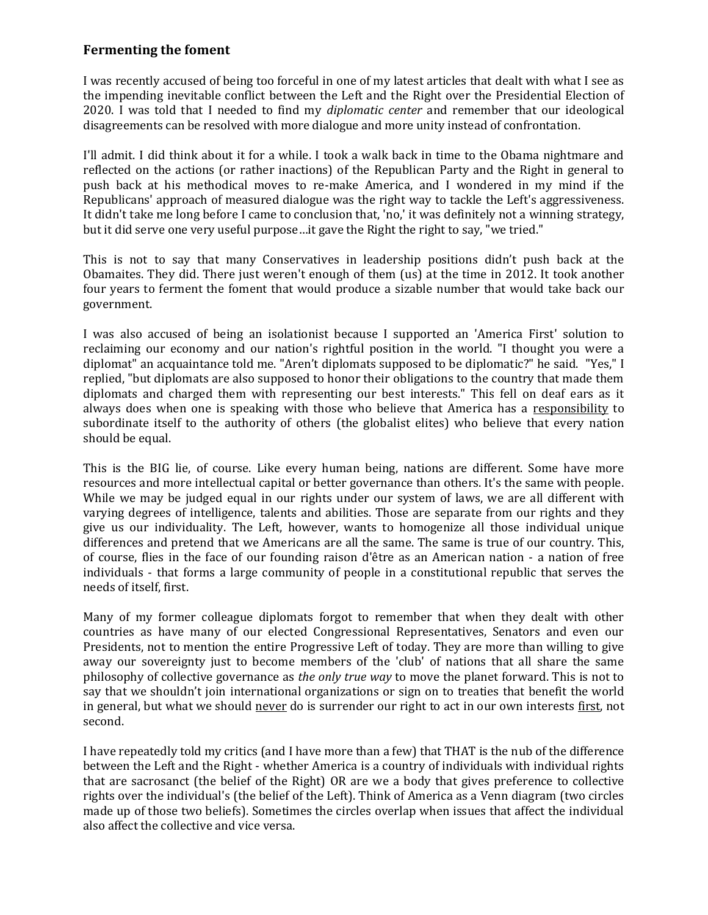## **Fermenting the foment**

I was recently accused of being too forceful in one of my latest articles that dealt with what I see as the impending inevitable conflict between the Left and the Right over the Presidential Election of 2020. I was told that I needed to find my *diplomatic center* and remember that our ideological disagreements can be resolved with more dialogue and more unity instead of confrontation.

I'll admit. I did think about it for a while. I took a walk back in time to the Obama nightmare and reflected on the actions (or rather inactions) of the Republican Party and the Right in general to push back at his methodical moves to re-make America, and I wondered in my mind if the Republicans' approach of measured dialogue was the right way to tackle the Left's aggressiveness. It didn't take me long before I came to conclusion that, 'no,' it was definitely not a winning strategy, but it did serve one very useful purpose…it gave the Right the right to say, "we tried."

This is not to say that many Conservatives in leadership positions didn't push back at the Obamaites. They did. There just weren't enough of them (us) at the time in 2012. It took another four years to ferment the foment that would produce a sizable number that would take back our government.

I was also accused of being an isolationist because I supported an 'America First' solution to reclaiming our economy and our nation's rightful position in the world. "I thought you were a diplomat" an acquaintance told me. "Aren't diplomats supposed to be diplomatic?" he said. "Yes," I replied, "but diplomats are also supposed to honor their obligations to the country that made them diplomats and charged them with representing our best interests." This fell on deaf ears as it always does when one is speaking with those who believe that America has a responsibility to subordinate itself to the authority of others (the globalist elites) who believe that every nation should be equal.

This is the BIG lie, of course. Like every human being, nations are different. Some have more resources and more intellectual capital or better governance than others. It's the same with people. While we may be judged equal in our rights under our system of laws, we are all different with varying degrees of intelligence, talents and abilities. Those are separate from our rights and they give us our individuality. The Left, however, wants to homogenize all those individual unique differences and pretend that we Americans are all the same. The same is true of our country. This, of course, flies in the face of our founding raison d'être as an American nation - a nation of free individuals - that forms a large community of people in a constitutional republic that serves the needs of itself, first.

Many of my former colleague diplomats forgot to remember that when they dealt with other countries as have many of our elected Congressional Representatives, Senators and even our Presidents, not to mention the entire Progressive Left of today. They are more than willing to give away our sovereignty just to become members of the 'club' of nations that all share the same philosophy of collective governance as *the only true way* to move the planet forward. This is not to say that we shouldn't join international organizations or sign on to treaties that benefit the world in general, but what we should never do is surrender our right to act in our own interests first, not second.

I have repeatedly told my critics (and I have more than a few) that THAT is the nub of the difference between the Left and the Right - whether America is a country of individuals with individual rights that are sacrosanct (the belief of the Right) OR are we a body that gives preference to collective rights over the individual's (the belief of the Left). Think of America as a Venn diagram (two circles made up of those two beliefs). Sometimes the circles overlap when issues that affect the individual also affect the collective and vice versa.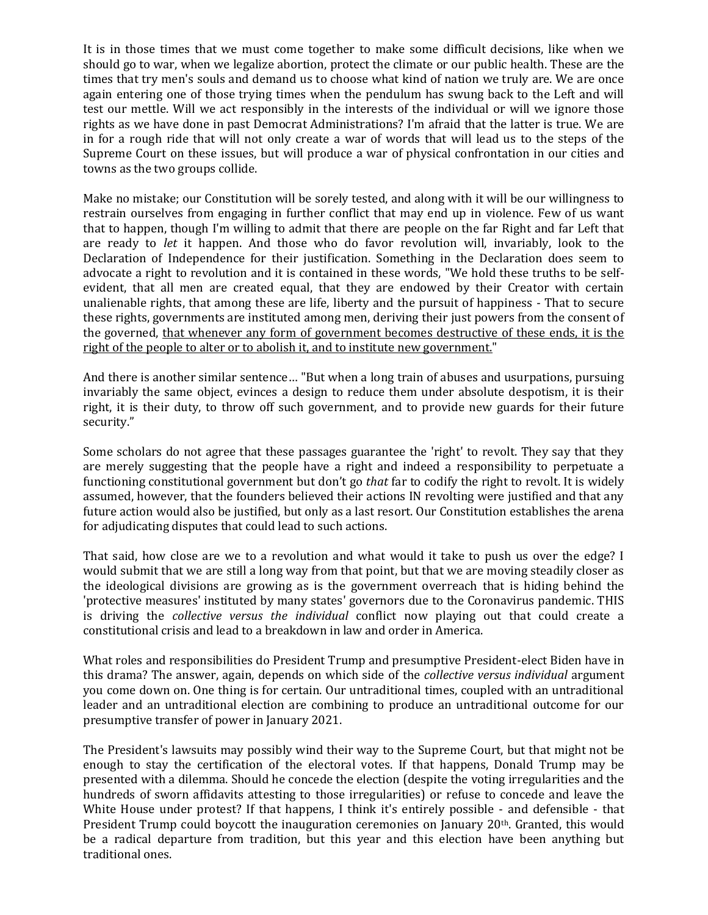It is in those times that we must come together to make some difficult decisions, like when we should go to war, when we legalize abortion, protect the climate or our public health. These are the times that try men's souls and demand us to choose what kind of nation we truly are. We are once again entering one of those trying times when the pendulum has swung back to the Left and will test our mettle. Will we act responsibly in the interests of the individual or will we ignore those rights as we have done in past Democrat Administrations? I'm afraid that the latter is true. We are in for a rough ride that will not only create a war of words that will lead us to the steps of the Supreme Court on these issues, but will produce a war of physical confrontation in our cities and towns as the two groups collide.

Make no mistake; our Constitution will be sorely tested, and along with it will be our willingness to restrain ourselves from engaging in further conflict that may end up in violence. Few of us want that to happen, though I'm willing to admit that there are people on the far Right and far Left that are ready to *let* it happen. And those who do favor revolution will, invariably, look to the Declaration of Independence for their justification. Something in the Declaration does seem to advocate a right to revolution and it is contained in these words, "We hold these truths to be selfevident, that all men are created equal, that they are endowed by their Creator with certain unalienable rights, that among these are life, liberty and the pursuit of happiness - That to secure these rights, governments are instituted among men, deriving their just powers from the consent of the governed, that whenever any form of government becomes destructive of these ends, it is the right of the people to alter or to abolish it, and to institute new government."

And there is another similar sentence… "But when a long train of abuses and usurpations, pursuing invariably the same object, evinces a design to reduce them under absolute despotism, it is their right, it is their duty, to throw off such government, and to provide new guards for their future security."

Some scholars do not agree that these passages guarantee the 'right' to revolt. They say that they are merely suggesting that the people have a right and indeed a responsibility to perpetuate a functioning constitutional government but don't go *that* far to codify the right to revolt. It is widely assumed, however, that the founders believed their actions IN revolting were justified and that any future action would also be justified, but only as a last resort. Our Constitution establishes the arena for adjudicating disputes that could lead to such actions.

That said, how close are we to a revolution and what would it take to push us over the edge? I would submit that we are still a long way from that point, but that we are moving steadily closer as the ideological divisions are growing as is the government overreach that is hiding behind the 'protective measures' instituted by many states' governors due to the Coronavirus pandemic. THIS is driving the *collective versus the individual* conflict now playing out that could create a constitutional crisis and lead to a breakdown in law and order in America.

What roles and responsibilities do President Trump and presumptive President-elect Biden have in this drama? The answer, again, depends on which side of the *collective versus individual* argument you come down on. One thing is for certain. Our untraditional times, coupled with an untraditional leader and an untraditional election are combining to produce an untraditional outcome for our presumptive transfer of power in January 2021.

The President's lawsuits may possibly wind their way to the Supreme Court, but that might not be enough to stay the certification of the electoral votes. If that happens, Donald Trump may be presented with a dilemma. Should he concede the election (despite the voting irregularities and the hundreds of sworn affidavits attesting to those irregularities) or refuse to concede and leave the White House under protest? If that happens, I think it's entirely possible - and defensible - that President Trump could boycott the inauguration ceremonies on January 20<sup>th</sup>. Granted, this would be a radical departure from tradition, but this year and this election have been anything but traditional ones.